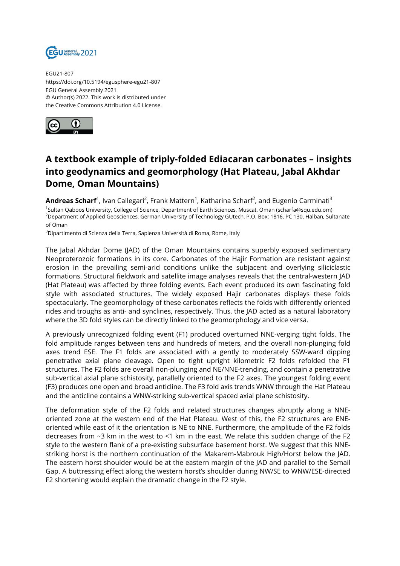

EGU21-807 https://doi.org/10.5194/egusphere-egu21-807 EGU General Assembly 2021 © Author(s) 2022. This work is distributed under the Creative Commons Attribution 4.0 License.



## **A textbook example of triply-folded Ediacaran carbonates – insights into geodynamics and geomorphology (Hat Plateau, Jabal Akhdar Dome, Oman Mountains)**

**Andreas Scharf**<sup>1</sup>, Ivan Callegari<sup>2</sup>, Frank Mattern<sup>1</sup>, Katharina Scharf<sup>2</sup>, and Eugenio Carminati<sup>3</sup> 1 Sultan Qaboos University, College of Science, Department of Earth Sciences, Muscat, Oman (scharfa@squ.edu.om) <sup>2</sup>Department of Applied Geosciences, German University of Technology GUtech, P.O. Box: 1816, PC 130, Halban, Sultanate of Oman

<sup>3</sup>Dipartimento di Scienza della Terra, Sapienza Università di Roma, Rome, Italy

The Jabal Akhdar Dome (JAD) of the Oman Mountains contains superbly exposed sedimentary Neoproterozoic formations in its core. Carbonates of the Hajir Formation are resistant against erosion in the prevailing semi-arid conditions unlike the subjacent and overlying siliciclastic formations. Structural fieldwork and satellite image analyses reveals that the central-western JAD (Hat Plateau) was affected by three folding events. Each event produced its own fascinating fold style with associated structures. The widely exposed Hajir carbonates displays these folds spectacularly. The geomorphology of these carbonates reflects the folds with differently oriented rides and troughs as anti- and synclines, respectively. Thus, the JAD acted as a natural laboratory where the 3D fold styles can be directly linked to the geomorphology and vice versa.

A previously unrecognized folding event (F1) produced overturned NNE-verging tight folds. The fold amplitude ranges between tens and hundreds of meters, and the overall non-plunging fold axes trend ESE. The F1 folds are associated with a gently to moderately SSW-ward dipping penetrative axial plane cleavage. Open to tight upright kilometric F2 folds refolded the F1 structures. The F2 folds are overall non-plunging and NE/NNE-trending, and contain a penetrative sub-vertical axial plane schistosity, parallelly oriented to the F2 axes. The youngest folding event (F3) produces one open and broad anticline. The F3 fold axis trends WNW through the Hat Plateau and the anticline contains a WNW-striking sub-vertical spaced axial plane schistosity.

The deformation style of the F2 folds and related structures changes abruptly along a NNEoriented zone at the western end of the Hat Plateau. West of this, the F2 structures are ENEoriented while east of it the orientation is NE to NNE. Furthermore, the amplitude of the F2 folds decreases from ~3 km in the west to <1 km in the east. We relate this sudden change of the F2 style to the western flank of a pre-existing subsurface basement horst. We suggest that this NNEstriking horst is the northern continuation of the Makarem-Mabrouk High/Horst below the JAD. The eastern horst shoulder would be at the eastern margin of the JAD and parallel to the Semail Gap. A buttressing effect along the western horst's shoulder during NW/SE to WNW/ESE-directed F2 shortening would explain the dramatic change in the F2 style.